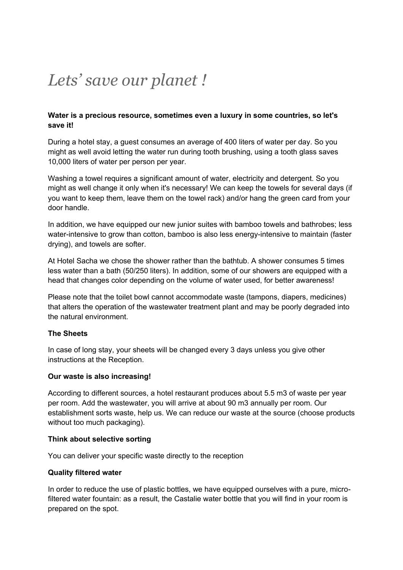# *Lets' save our planet !*

## **Water is a precious resource, sometimes even a luxury in some countries, so let's save it!**

During a hotel stay, a guest consumes an average of 400 liters of water per day. So you might as well avoid letting the water run during tooth brushing, using a tooth glass saves 10,000 liters of water per person per year.

Washing a towel requires a significant amount of water, electricity and detergent. So you might as well change it only when it's necessary! We can keep the towels for several days (if you want to keep them, leave them on the towel rack) and/or hang the green card from your door handle.

In addition, we have equipped our new junior suites with bamboo towels and bathrobes; less water-intensive to grow than cotton, bamboo is also less energy-intensive to maintain (faster drying), and towels are softer.

At Hotel Sacha we chose the shower rather than the bathtub. A shower consumes 5 times less water than a bath (50/250 liters). In addition, some of our showers are equipped with a head that changes color depending on the volume of water used, for better awareness!

Please note that the toilet bowl cannot accommodate waste (tampons, diapers, medicines) that alters the operation of the wastewater treatment plant and may be poorly degraded into the natural environment.

# **The Sheets**

In case of long stay, your sheets will be changed every 3 days unless you give other instructions at the Reception.

#### **Our waste is also increasing!**

According to different sources, a hotel restaurant produces about 5.5 m3 of waste per year per room. Add the wastewater, you will arrive at about 90 m3 annually per room. Our establishment sorts waste, help us. We can reduce our waste at the source (choose products without too much packaging).

#### **Think about selective sorting**

You can deliver your specific waste directly to the reception

#### **Quality filtered water**

In order to reduce the use of plastic bottles, we have equipped ourselves with a pure, microfiltered water fountain: as a result, the Castalie water bottle that you will find in your room is prepared on the spot.